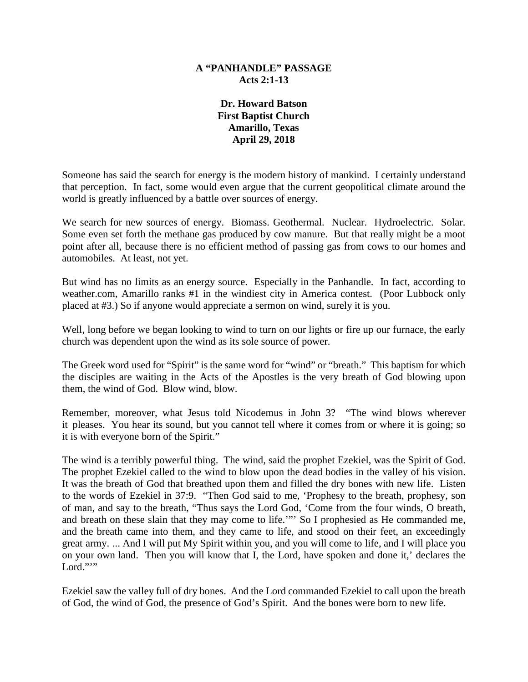## **A "PANHANDLE" PASSAGE Acts 2:1-13**

**Dr. Howard Batson First Baptist Church Amarillo, Texas April 29, 2018** 

Someone has said the search for energy is the modern history of mankind. I certainly understand that perception. In fact, some would even argue that the current geopolitical climate around the world is greatly influenced by a battle over sources of energy.

We search for new sources of energy. Biomass. Geothermal. Nuclear. Hydroelectric. Solar. Some even set forth the methane gas produced by cow manure. But that really might be a moot point after all, because there is no efficient method of passing gas from cows to our homes and automobiles. At least, not yet.

But wind has no limits as an energy source. Especially in the Panhandle. In fact, according to weather.com, Amarillo ranks #1 in the windiest city in America contest. (Poor Lubbock only placed at #3.) So if anyone would appreciate a sermon on wind, surely it is you.

Well, long before we began looking to wind to turn on our lights or fire up our furnace, the early church was dependent upon the wind as its sole source of power.

The Greek word used for "Spirit" is the same word for "wind" or "breath." This baptism for which the disciples are waiting in the Acts of the Apostles is the very breath of God blowing upon them, the wind of God. Blow wind, blow.

Remember, moreover, what Jesus told Nicodemus in John 3? "The wind blows wherever it pleases. You hear its sound, but you cannot tell where it comes from or where it is going; so it is with everyone born of the Spirit."

The wind is a terribly powerful thing. The wind, said the prophet Ezekiel, was the Spirit of God. The prophet Ezekiel called to the wind to blow upon the dead bodies in the valley of his vision. It was the breath of God that breathed upon them and filled the dry bones with new life. Listen to the words of Ezekiel in 37:9. "Then God said to me, 'Prophesy to the breath, prophesy, son of man, and say to the breath, "Thus says the Lord God, 'Come from the four winds, O breath, and breath on these slain that they may come to life.'"' So I prophesied as He commanded me, and the breath came into them, and they came to life, and stood on their feet, an exceedingly great army. ... And I will put My Spirit within you, and you will come to life, and I will place you on your own land. Then you will know that I, the Lord, have spoken and done it,' declares the Lord."" $"$ 

Ezekiel saw the valley full of dry bones. And the Lord commanded Ezekiel to call upon the breath of God, the wind of God, the presence of God's Spirit. And the bones were born to new life.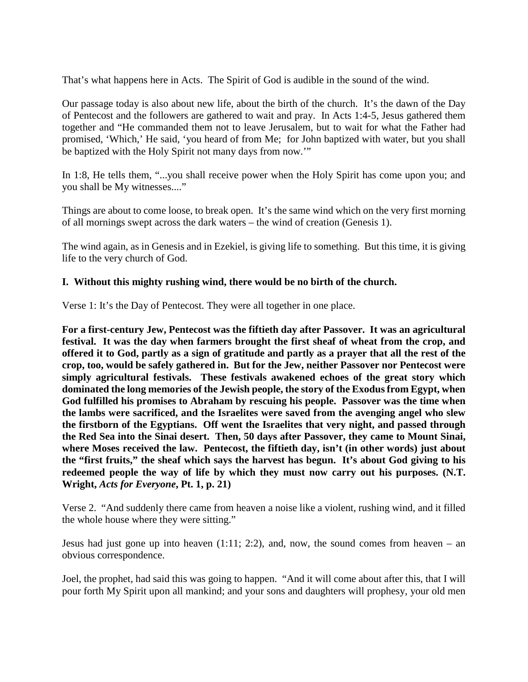That's what happens here in Acts. The Spirit of God is audible in the sound of the wind.

Our passage today is also about new life, about the birth of the church. It's the dawn of the Day of Pentecost and the followers are gathered to wait and pray. In Acts 1:4-5, Jesus gathered them together and "He commanded them not to leave Jerusalem, but to wait for what the Father had promised, 'Which,' He said, 'you heard of from Me; for John baptized with water, but you shall be baptized with the Holy Spirit not many days from now.'"

In 1:8, He tells them, "...you shall receive power when the Holy Spirit has come upon you; and you shall be My witnesses...."

Things are about to come loose, to break open. It's the same wind which on the very first morning of all mornings swept across the dark waters – the wind of creation (Genesis 1).

The wind again, as in Genesis and in Ezekiel, is giving life to something. But this time, it is giving life to the very church of God.

# **I. Without this mighty rushing wind, there would be no birth of the church.**

Verse 1: It's the Day of Pentecost. They were all together in one place.

**For a first-century Jew, Pentecost was the fiftieth day after Passover. It was an agricultural festival. It was the day when farmers brought the first sheaf of wheat from the crop, and offered it to God, partly as a sign of gratitude and partly as a prayer that all the rest of the crop, too, would be safely gathered in. But for the Jew, neither Passover nor Pentecost were simply agricultural festivals. These festivals awakened echoes of the great story which dominated the long memories of the Jewish people, the story of the Exodus from Egypt, when God fulfilled his promises to Abraham by rescuing his people. Passover was the time when the lambs were sacrificed, and the Israelites were saved from the avenging angel who slew the firstborn of the Egyptians. Off went the Israelites that very night, and passed through the Red Sea into the Sinai desert. Then, 50 days after Passover, they came to Mount Sinai, where Moses received the law. Pentecost, the fiftieth day, isn't (in other words) just about the "first fruits," the sheaf which says the harvest has begun. It's about God giving to his redeemed people the way of life by which they must now carry out his purposes. (N.T. Wright,** *Acts for Everyone***, Pt. 1, p. 21)**

Verse 2. "And suddenly there came from heaven a noise like a violent, rushing wind, and it filled the whole house where they were sitting."

Jesus had just gone up into heaven  $(1:11; 2:2)$ , and, now, the sound comes from heaven – an obvious correspondence.

Joel, the prophet, had said this was going to happen. "And it will come about after this, that I will pour forth My Spirit upon all mankind; and your sons and daughters will prophesy, your old men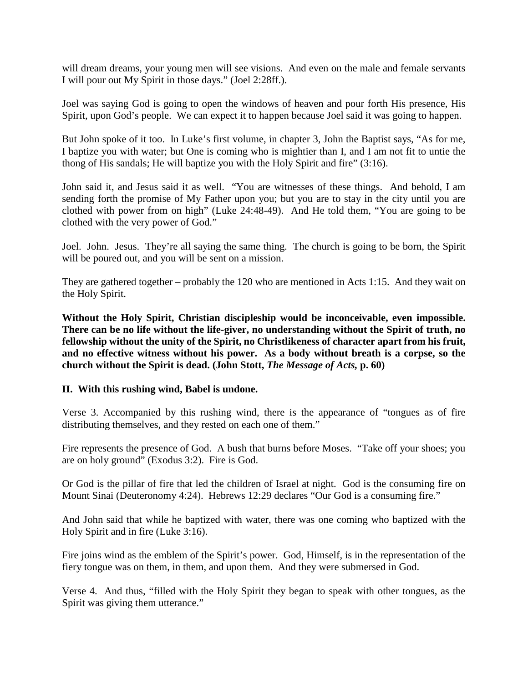will dream dreams, your young men will see visions. And even on the male and female servants I will pour out My Spirit in those days." (Joel 2:28ff.).

Joel was saying God is going to open the windows of heaven and pour forth His presence, His Spirit, upon God's people. We can expect it to happen because Joel said it was going to happen.

But John spoke of it too. In Luke's first volume, in chapter 3, John the Baptist says, "As for me, I baptize you with water; but One is coming who is mightier than I, and I am not fit to untie the thong of His sandals; He will baptize you with the Holy Spirit and fire" (3:16).

John said it, and Jesus said it as well. "You are witnesses of these things. And behold, I am sending forth the promise of My Father upon you; but you are to stay in the city until you are clothed with power from on high" (Luke 24:48-49). And He told them, "You are going to be clothed with the very power of God."

Joel. John. Jesus. They're all saying the same thing. The church is going to be born, the Spirit will be poured out, and you will be sent on a mission.

They are gathered together – probably the 120 who are mentioned in Acts 1:15. And they wait on the Holy Spirit.

**Without the Holy Spirit, Christian discipleship would be inconceivable, even impossible. There can be no life without the life-giver, no understanding without the Spirit of truth, no fellowship without the unity of the Spirit, no Christlikeness of character apart from his fruit, and no effective witness without his power. As a body without breath is a corpse, so the church without the Spirit is dead. (John Stott,** *The Message of Acts,* **p. 60)**

## **II. With this rushing wind, Babel is undone.**

Verse 3. Accompanied by this rushing wind, there is the appearance of "tongues as of fire distributing themselves, and they rested on each one of them."

Fire represents the presence of God. A bush that burns before Moses. "Take off your shoes; you are on holy ground" (Exodus 3:2). Fire is God.

Or God is the pillar of fire that led the children of Israel at night. God is the consuming fire on Mount Sinai (Deuteronomy 4:24). Hebrews 12:29 declares "Our God is a consuming fire."

And John said that while he baptized with water, there was one coming who baptized with the Holy Spirit and in fire (Luke 3:16).

Fire joins wind as the emblem of the Spirit's power. God, Himself, is in the representation of the fiery tongue was on them, in them, and upon them. And they were submersed in God.

Verse 4. And thus, "filled with the Holy Spirit they began to speak with other tongues, as the Spirit was giving them utterance."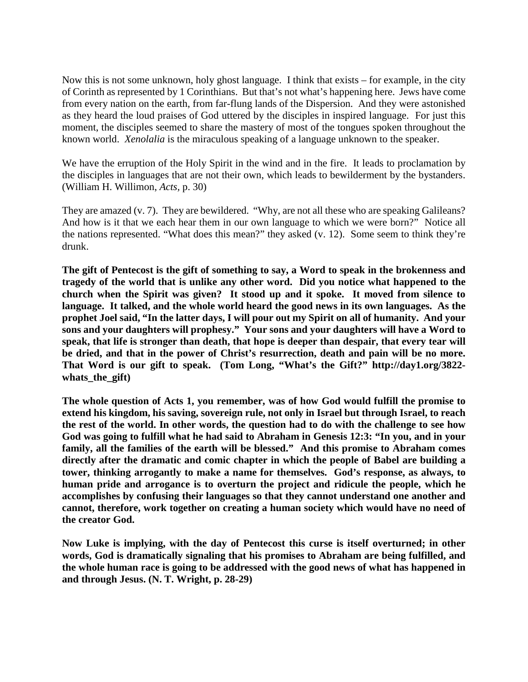Now this is not some unknown, holy ghost language. I think that exists – for example, in the city of Corinth as represented by 1 Corinthians. But that's not what's happening here. Jews have come from every nation on the earth, from far-flung lands of the Dispersion. And they were astonished as they heard the loud praises of God uttered by the disciples in inspired language. For just this moment, the disciples seemed to share the mastery of most of the tongues spoken throughout the known world. *Xenolalia* is the miraculous speaking of a language unknown to the speaker.

We have the erruption of the Holy Spirit in the wind and in the fire. It leads to proclamation by the disciples in languages that are not their own, which leads to bewilderment by the bystanders. (William H. Willimon, *Acts,* p. 30)

They are amazed (v. 7). They are bewildered. "Why, are not all these who are speaking Galileans? And how is it that we each hear them in our own language to which we were born?" Notice all the nations represented. "What does this mean?" they asked (v. 12). Some seem to think they're drunk.

**The gift of Pentecost is the gift of something to say, a Word to speak in the brokenness and tragedy of the world that is unlike any other word. Did you notice what happened to the church when the Spirit was given? It stood up and it spoke. It moved from silence to language. It talked, and the whole world heard the good news in its own languages. As the prophet Joel said, "In the latter days, I will pour out my Spirit on all of humanity. And your sons and your daughters will prophesy." Your sons and your daughters will have a Word to speak, that life is stronger than death, that hope is deeper than despair, that every tear will be dried, and that in the power of Christ's resurrection, death and pain will be no more. That Word is our gift to speak. (Tom Long, "What's the Gift?" http://day1.org/3822 whats\_the\_gift)**

**The whole question of Acts 1, you remember, was of how God would fulfill the promise to extend his kingdom, his saving, sovereign rule, not only in Israel but through Israel, to reach the rest of the world. In other words, the question had to do with the challenge to see how God was going to fulfill what he had said to Abraham in Genesis 12:3: "In you, and in your family, all the families of the earth will be blessed." And this promise to Abraham comes directly after the dramatic and comic chapter in which the people of Babel are building a tower, thinking arrogantly to make a name for themselves. God's response, as always, to human pride and arrogance is to overturn the project and ridicule the people, which he accomplishes by confusing their languages so that they cannot understand one another and cannot, therefore, work together on creating a human society which would have no need of the creator God.**

**Now Luke is implying, with the day of Pentecost this curse is itself overturned; in other words, God is dramatically signaling that his promises to Abraham are being fulfilled, and the whole human race is going to be addressed with the good news of what has happened in and through Jesus. (N. T. Wright, p. 28-29)**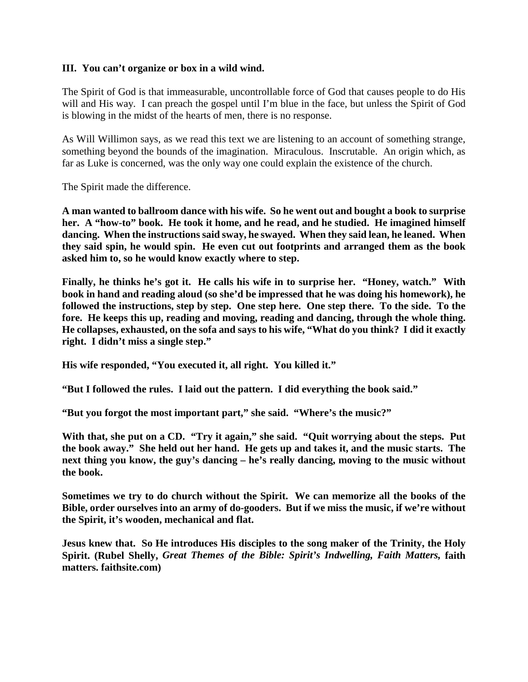## **III. You can't organize or box in a wild wind.**

The Spirit of God is that immeasurable, uncontrollable force of God that causes people to do His will and His way. I can preach the gospel until I'm blue in the face, but unless the Spirit of God is blowing in the midst of the hearts of men, there is no response.

As Will Willimon says, as we read this text we are listening to an account of something strange, something beyond the bounds of the imagination. Miraculous. Inscrutable. An origin which, as far as Luke is concerned, was the only way one could explain the existence of the church.

The Spirit made the difference.

**A man wanted to ballroom dance with his wife. So he went out and bought a book to surprise her. A "how-to" book. He took it home, and he read, and he studied. He imagined himself dancing. When the instructions said sway, he swayed. When they said lean, he leaned. When they said spin, he would spin. He even cut out footprints and arranged them as the book asked him to, so he would know exactly where to step.**

**Finally, he thinks he's got it. He calls his wife in to surprise her. "Honey, watch." With book in hand and reading aloud (so she'd be impressed that he was doing his homework), he followed the instructions, step by step. One step here. One step there. To the side. To the fore. He keeps this up, reading and moving, reading and dancing, through the whole thing. He collapses, exhausted, on the sofa and says to his wife, "What do you think? I did it exactly right. I didn't miss a single step."**

**His wife responded, "You executed it, all right. You killed it."**

**"But I followed the rules. I laid out the pattern. I did everything the book said."**

**"But you forgot the most important part," she said. "Where's the music?"**

With that, she put on a CD. "Try it again," she said. "Quit worrying about the steps. Put **the book away." She held out her hand. He gets up and takes it, and the music starts. The next thing you know, the guy's dancing – he's really dancing, moving to the music without the book.**

**Sometimes we try to do church without the Spirit. We can memorize all the books of the Bible, order ourselves into an army of do-gooders. But if we miss the music, if we're without the Spirit, it's wooden, mechanical and flat.**

**Jesus knew that. So He introduces His disciples to the song maker of the Trinity, the Holy Spirit. (Rubel Shelly,** *Great Themes of the Bible: Spirit's Indwelling, Faith Matters,* **faith matters. faithsite.com)**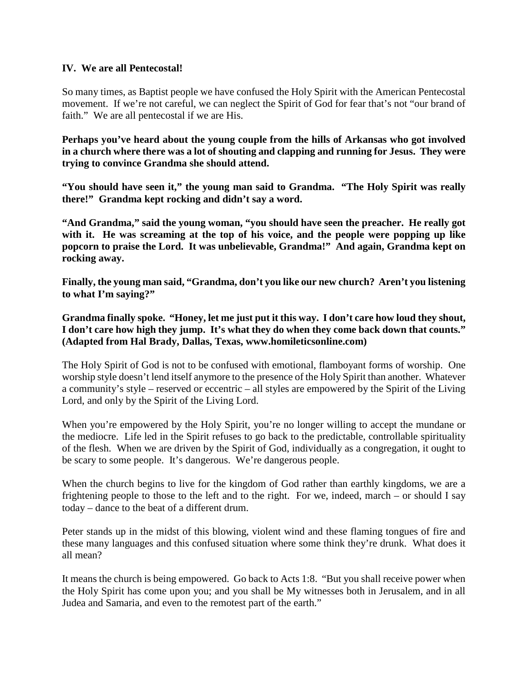# **IV. We are all Pentecostal!**

So many times, as Baptist people we have confused the Holy Spirit with the American Pentecostal movement. If we're not careful, we can neglect the Spirit of God for fear that's not "our brand of faith." We are all pentecostal if we are His.

**Perhaps you've heard about the young couple from the hills of Arkansas who got involved in a church where there was a lot of shouting and clapping and running for Jesus. They were trying to convince Grandma she should attend.**

**"You should have seen it," the young man said to Grandma. "The Holy Spirit was really there!" Grandma kept rocking and didn't say a word.**

**"And Grandma," said the young woman, "you should have seen the preacher. He really got with it. He was screaming at the top of his voice, and the people were popping up like popcorn to praise the Lord. It was unbelievable, Grandma!" And again, Grandma kept on rocking away.**

**Finally, the young man said, "Grandma, don't you like our new church? Aren't you listening to what I'm saying?"**

**Grandma finally spoke. "Honey, let me just put it this way. I don't care how loud they shout, I don't care how high they jump. It's what they do when they come back down that counts." (Adapted from Hal Brady, Dallas, Texas, www.homileticsonline.com)**

The Holy Spirit of God is not to be confused with emotional, flamboyant forms of worship. One worship style doesn't lend itself anymore to the presence of the Holy Spirit than another. Whatever a community's style – reserved or eccentric – all styles are empowered by the Spirit of the Living Lord, and only by the Spirit of the Living Lord.

When you're empowered by the Holy Spirit, you're no longer willing to accept the mundane or the mediocre. Life led in the Spirit refuses to go back to the predictable, controllable spirituality of the flesh. When we are driven by the Spirit of God, individually as a congregation, it ought to be scary to some people. It's dangerous. We're dangerous people.

When the church begins to live for the kingdom of God rather than earthly kingdoms, we are a frightening people to those to the left and to the right. For we, indeed, march – or should I say today – dance to the beat of a different drum.

Peter stands up in the midst of this blowing, violent wind and these flaming tongues of fire and these many languages and this confused situation where some think they're drunk. What does it all mean?

It means the church is being empowered. Go back to Acts 1:8. "But you shall receive power when the Holy Spirit has come upon you; and you shall be My witnesses both in Jerusalem, and in all Judea and Samaria, and even to the remotest part of the earth."